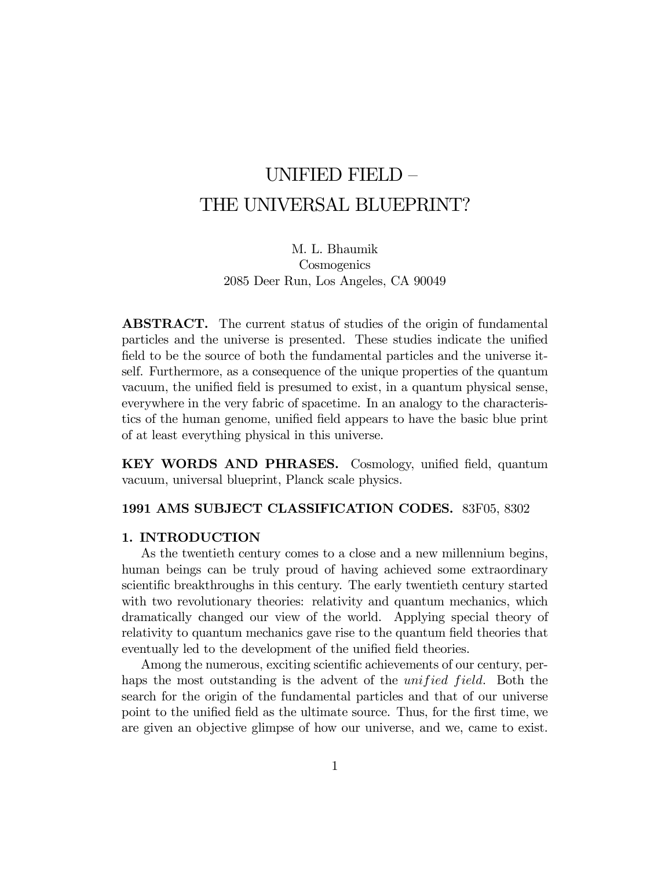# UNIFIED FIELD -THE UNIVERSAL BLUEPRINT?

M. L. Bhaumik **Cosmogenics** 2085 Deer Run, Los Angeles, CA 90049

ABSTRACT. The current status of studies of the origin of fundamental particles and the universe is presented. These studies indicate the unified field to be the source of both the fundamental particles and the universe itself. Furthermore, as a consequence of the unique properties of the quantum vacuum, the unified field is presumed to exist, in a quantum physical sense, everywhere in the very fabric of spacetime. In an analogy to the characteristics of the human genome, unified field appears to have the basic blue print of at least everything physical in this universe.

KEY WORDS AND PHRASES. Cosmology, unified field, quantum vacuum, universal blueprint, Planck scale physics.

## 1991 AMS SUBJECT CLASSIFICATION CODES. 83F05, 8302

#### 1. INTRODUCTION

As the twentieth century comes to a close and a new millennium begins, human beings can be truly proud of having achieved some extraordinary scientific breakthroughs in this century. The early twentieth century started with two revolutionary theories: relativity and quantum mechanics, which dramatically changed our view of the world. Applying special theory of relativity to quantum mechanics gave rise to the quantum field theories that eventually led to the development of the unified field theories.

Among the numerous, exciting scientific achievements of our century, perhaps the most outstanding is the advent of the *unified field*. Both the search for the origin of the fundamental particles and that of our universe point to the unified field as the ultimate source. Thus, for the first time, we are given an objective glimpse of how our universe, and we, came to exist.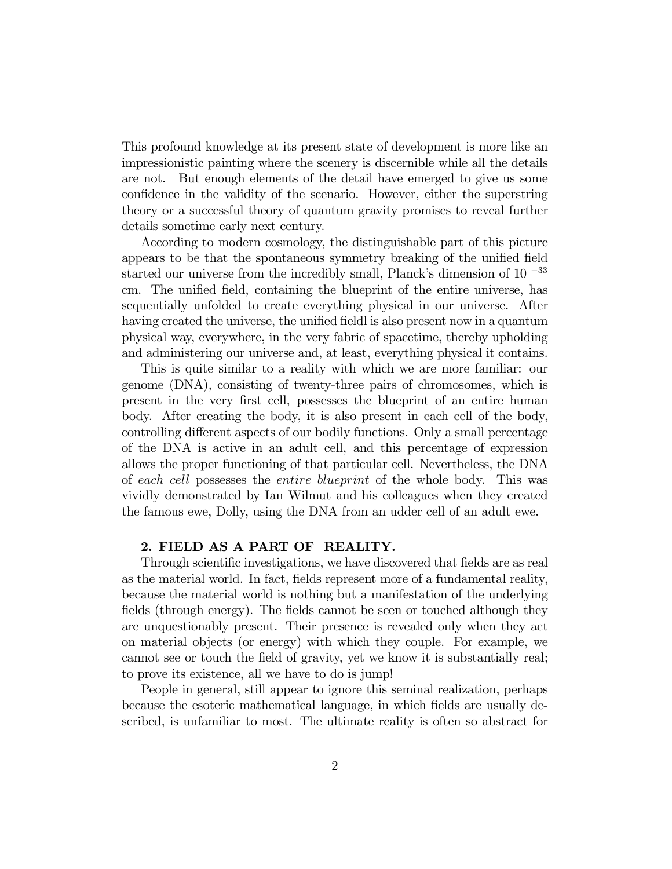This profound knowledge at its present state of development is more like an impressionistic painting where the scenery is discernible while all the details are not. But enough elements of the detail have emerged to give us some confidence in the validity of the scenario. However, either the superstring theory or a successful theory of quantum gravity promises to reveal further details sometime early next century.

According to modern cosmology, the distinguishable part of this picture appears to be that the spontaneous symmetry breaking of the unified field started our universe from the incredibly small, Planck's dimension of 10 $-33$ cm. The unified field, containing the blueprint of the entire universe, has sequentially unfolded to create everything physical in our universe. After having created the universe, the unified fieldl is also present now in a quantum physical way, everywhere, in the very fabric of spacetime, thereby upholding and administering our universe and, at least, everything physical it contains.

This is quite similar to a reality with which we are more familiar: our genome (DNA), consisting of twenty-three pairs of chromosomes, which is present in the very first cell, possesses the blueprint of an entire human body. After creating the body, it is also present in each cell of the body, controlling different aspects of our bodily functions. Only a small percentage of the DNA is active in an adult cell, and this percentage of expression allows the proper functioning of that particular cell. Nevertheless, the DNA of each cell possesses the entire blueprint of the whole body. This was vividly demonstrated by Ian Wilmut and his colleagues when they created the famous ewe, Dolly, using the DNA from an udder cell of an adult ewe.

## 2. FIELD AS A PART OF REALITY.

Through scientific investigations, we have discovered that fields are as real as the material world. In fact, fields represent more of a fundamental reality, because the material world is nothing but a manifestation of the underlying fields (through energy). The fields cannot be seen or touched although they are unquestionably present. Their presence is revealed only when they act on material objects (or energy) with which they couple. For example, we cannot see or touch the field of gravity, yet we know it is substantially real; to prove its existence, all we have to do is jump!

People in general, still appear to ignore this seminal realization, perhaps because the esoteric mathematical language, in which fields are usually described, is unfamiliar to most. The ultimate reality is often so abstract for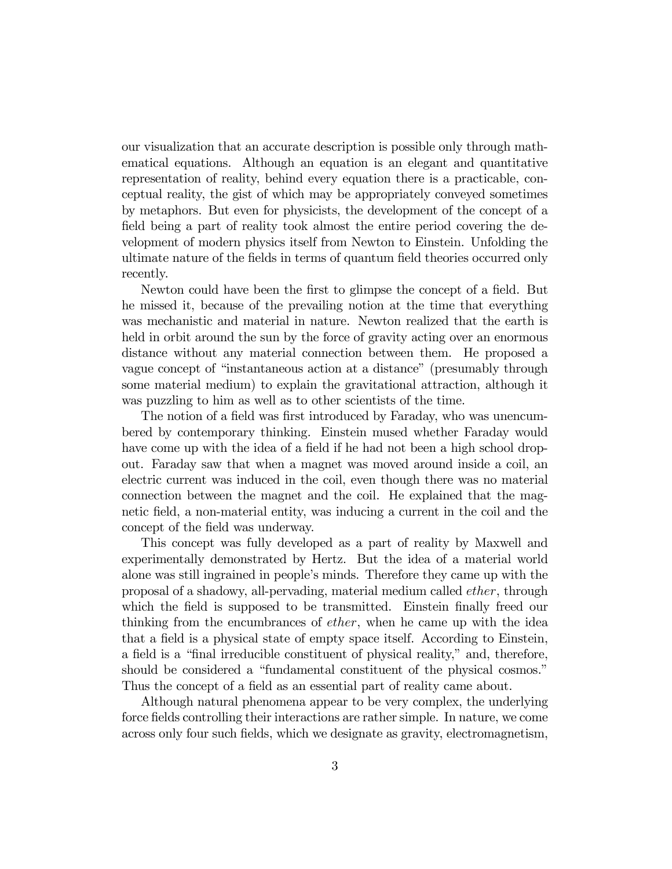our visualization that an accurate description is possible only through mathematical equations. Although an equation is an elegant and quantitative representation of reality, behind every equation there is a practicable, conceptual reality, the gist of which may be appropriately conveyed sometimes by metaphors. But even for physicists, the development of the concept of a field being a part of reality took almost the entire period covering the development of modern physics itself from Newton to Einstein. Unfolding the ultimate nature of the fields in terms of quantum field theories occurred only recently.

Newton could have been the first to glimpse the concept of a field. But he missed it, because of the prevailing notion at the time that everything was mechanistic and material in nature. Newton realized that the earth is held in orbit around the sun by the force of gravity acting over an enormous distance without any material connection between them. He proposed a vague concept of "instantaneous action at a distance" (presumably through some material medium) to explain the gravitational attraction, although it was puzzling to him as well as to other scientists of the time.

The notion of a field was first introduced by Faraday, who was unencumbered by contemporary thinking. Einstein mused whether Faraday would have come up with the idea of a field if he had not been a high school dropout. Faraday saw that when a magnet was moved around inside a coil, an electric current was induced in the coil, even though there was no material connection between the magnet and the coil. He explained that the magnetic field, a non-material entity, was inducing a current in the coil and the concept of the field was underway.

This concept was fully developed as a part of reality by Maxwell and experimentally demonstrated by Hertz. But the idea of a material world alone was still ingrained in people's minds. Therefore they came up with the proposal of a shadowy, all-pervading, material medium called ether, through which the field is supposed to be transmitted. Einstein finally freed our thinking from the encumbrances of ether, when he came up with the idea that a field is a physical state of empty space itself. According to Einstein, a field is a "final irreducible constituent of physical reality," and, therefore, should be considered a "fundamental constituent of the physical cosmos." Thus the concept of a field as an essential part of reality came about.

Although natural phenomena appear to be very complex, the underlying force fields controlling their interactions are rather simple. In nature, we come across only four such fields, which we designate as gravity, electromagnetism,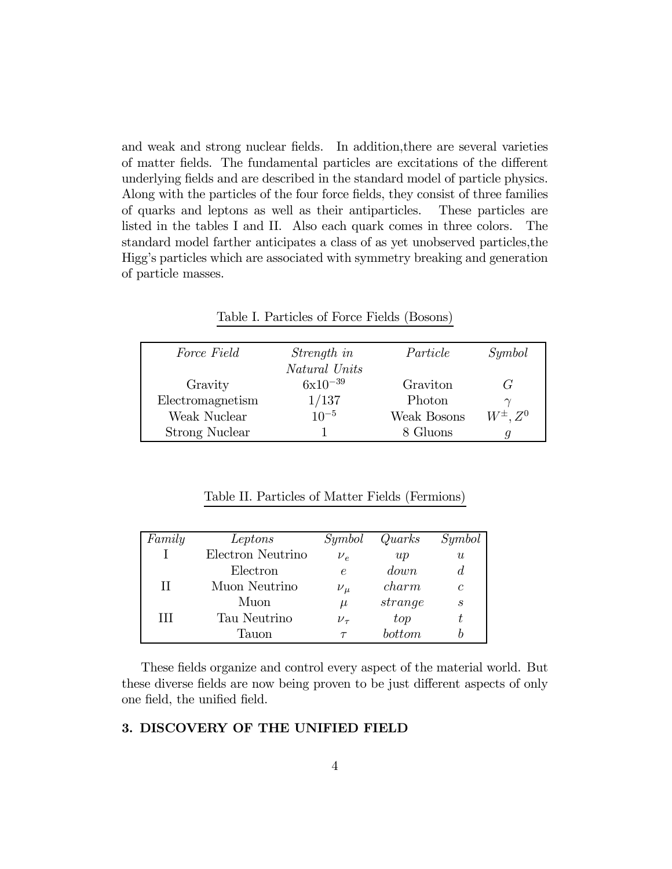and weak and strong nuclear fields. In addition,there are several varieties of matter fields. The fundamental particles are excitations of the different underlying fields and are described in the standard model of particle physics. Along with the particles of the four force fields, they consist of three families of quarks and leptons as well as their antiparticles. These particles are listed in the tables I and II. Also each quark comes in three colors. The standard model farther anticipates a class of as yet unobserved particles,the Higgís particles which are associated with symmetry breaking and generation of particle masses.

Table I. Particles of Force Fields (Bosons)

| <i>Force Field</i> | Strength in                   | Particle    | Symbol            |
|--------------------|-------------------------------|-------------|-------------------|
| Gravity            | Natural Units<br>$6x10^{-39}$ | Graviton    | $\mathcal{L}$     |
| Electromagnetism   | 1/137                         | Photon      |                   |
| Weak Nuclear       | $10^{-5}$                     | Weak Bosons | $W^{\pm}$ , $Z^0$ |
| Strong Nuclear     |                               | 8 Gluons    |                   |

Table II. Particles of Matter Fields (Fermions)

| Family | Leptons           | Symbol     | Quarks  | Symbol        |
|--------|-------------------|------------|---------|---------------|
|        | Electron Neutrino | $\nu_e$    | up      | u             |
|        | Electron          | $\epsilon$ | down    |               |
| Ш      | Muon Neutrino     | $\nu_\mu$  | charm   | $\mathcal{C}$ |
|        | Muon              | $\mu$      | strange | S             |
| Ш      | Tau Neutrino      | $\nu_\tau$ | top     |               |
|        | Tauon             |            | bottom  |               |

These fields organize and control every aspect of the material world. But these diverse fields are now being proven to be just different aspects of only one field, the unified field.

## 3. DISCOVERY OF THE UNIFIED FIELD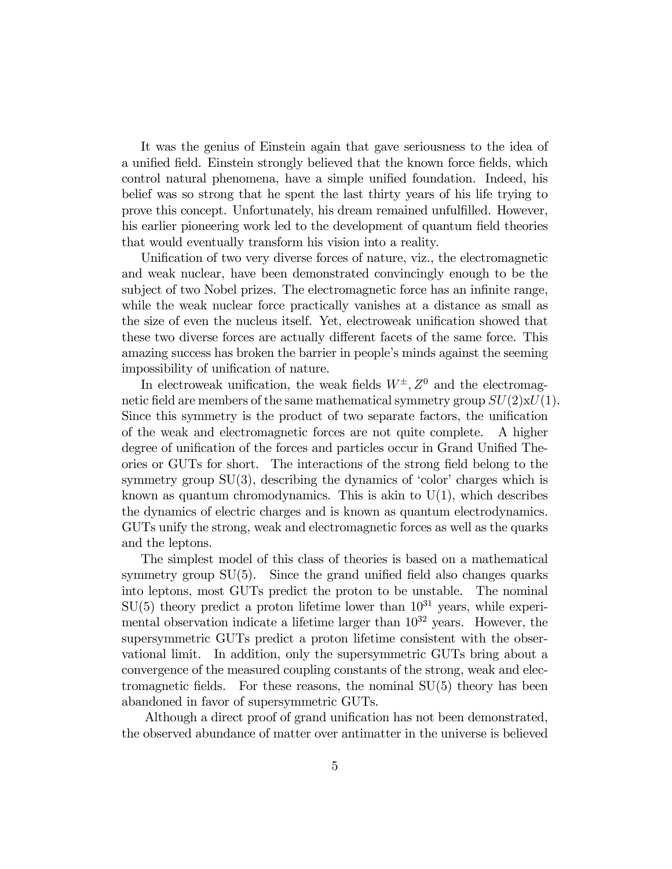It was the genius of Einstein again that gave seriousness to the idea of a unified field. Einstein strongly believed that the known force fields, which control natural phenomena, have a simple unified foundation. Indeed, his belief was so strong that he spent the last thirty years of his life trying to prove this concept. Unfortunately, his dream remained unfulfilled. However, his earlier pioneering work led to the development of quantum field theories that would eventually transform his vision into a reality.

Unification of two very diverse forces of nature, viz., the electromagnetic and weak nuclear, have been demonstrated convincingly enough to be the subject of two Nobel prizes. The electromagnetic force has an infinite range, while the weak nuclear force practically vanishes at a distance as small as the size of even the nucleus itself. Yet, electroweak unification showed that these two diverse forces are actually different facets of the same force. This amazing success has broken the barrier in people's minds against the seeming impossibility of unification of nature.

In electroweak unification, the weak fields  $W^{\pm}$ ,  $Z^0$  and the electromagnetic field are members of the same mathematical symmetry group  $SU(2) \times U(1)$ . Since this symmetry is the product of two separate factors, the unification of the weak and electromagnetic forces are not quite complete. A higher degree of unification of the forces and particles occur in Grand Unified Theories or GUTs for short. The interactions of the strong field belong to the symmetry group  $SU(3)$ , describing the dynamics of 'color' charges which is known as quantum chromodynamics. This is akin to  $U(1)$ , which describes the dynamics of electric charges and is known as quantum electrodynamics. GUTs unify the strong, weak and electromagnetic forces as well as the quarks and the leptons.

The simplest model of this class of theories is based on a mathematical symmetry group SU(5). Since the grand unified field also changes quarks into leptons, most GUTs predict the proton to be unstable. The nominal  $SU(5)$  theory predict a proton lifetime lower than  $10^{31}$  years, while experimental observation indicate a lifetime larger than  $10^{32}$  years. However, the supersymmetric GUTs predict a proton lifetime consistent with the observational limit. In addition, only the supersymmetric GUTs bring about a convergence of the measured coupling constants of the strong, weak and electromagnetic fields. For these reasons, the nominal SU(5) theory has been abandoned in favor of supersymmetric GUTs.

Although a direct proof of grand unification has not been demonstrated, the observed abundance of matter over antimatter in the universe is believed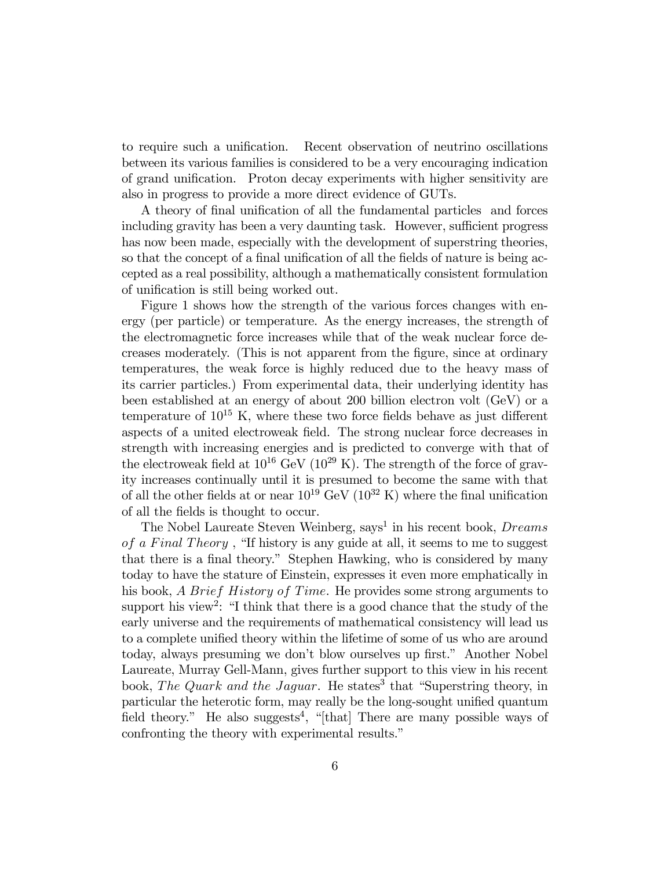to require such a unification. Recent observation of neutrino oscillations between its various families is considered to be a very encouraging indication of grand unification. Proton decay experiments with higher sensitivity are also in progress to provide a more direct evidence of GUTs.

A theory of final unification of all the fundamental particles and forces including gravity has been a very daunting task. However, sufficient progress has now been made, especially with the development of superstring theories, so that the concept of a final unification of all the fields of nature is being accepted as a real possibility, although a mathematically consistent formulation of unification is still being worked out.

Figure 1 shows how the strength of the various forces changes with energy (per particle) or temperature. As the energy increases, the strength of the electromagnetic force increases while that of the weak nuclear force decreases moderately. (This is not apparent from the figure, since at ordinary temperatures, the weak force is highly reduced due to the heavy mass of its carrier particles.) From experimental data, their underlying identity has been established at an energy of about 200 billion electron volt (GeV) or a temperature of  $10^{15}$  K, where these two force fields behave as just different aspects of a united electroweak field. The strong nuclear force decreases in strength with increasing energies and is predicted to converge with that of the electroweak field at  $10^{16}$  GeV ( $10^{29}$  K). The strength of the force of gravity increases continually until it is presumed to become the same with that of all the other fields at or near  $10^{19}$  GeV ( $10^{32}$  K) where the final unification of all the fields is thought to occur.

The Nobel Laureate Steven Weinberg, says<sup>1</sup> in his recent book, *Dreams* of a Final Theory, "If history is any guide at all, it seems to me to suggest that there is a final theory.î Stephen Hawking, who is considered by many today to have the stature of Einstein, expresses it even more emphatically in his book, A Brief History of Time. He provides some strong arguments to support his view<sup>2</sup>: "I think that there is a good chance that the study of the early universe and the requirements of mathematical consistency will lead us to a complete unified theory within the lifetime of some of us who are around today, always presuming we don't blow ourselves up first." Another Nobel Laureate, Murray Gell-Mann, gives further support to this view in his recent book, The Quark and the Jaguar. He states<sup>3</sup> that "Superstring theory, in particular the heterotic form, may really be the long-sought unified quantum field theory." He also suggests<sup>4</sup>, "[that] There are many possible ways of confronting the theory with experimental results."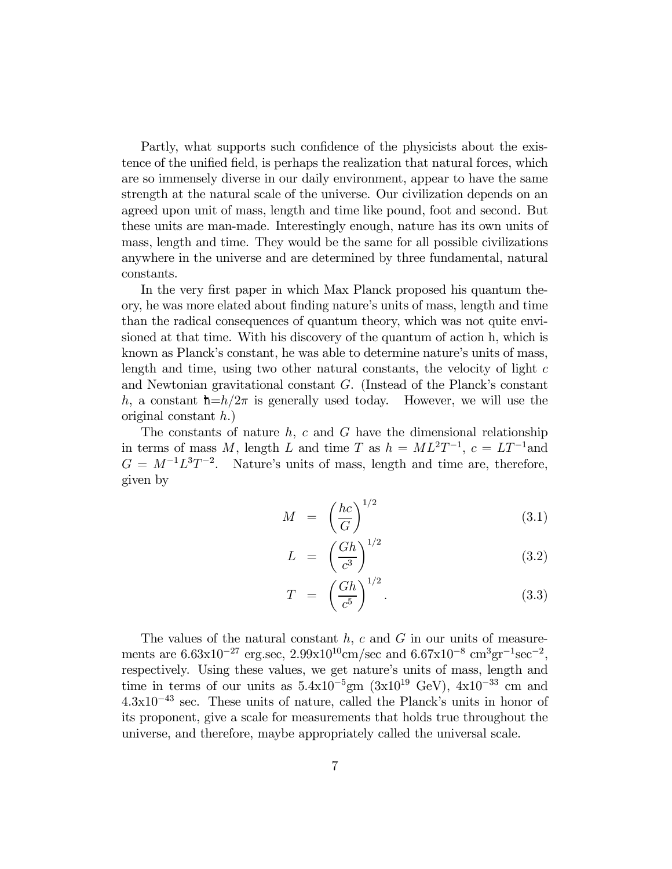Partly, what supports such confidence of the physicists about the existence of the unified field, is perhaps the realization that natural forces, which are so immensely diverse in our daily environment, appear to have the same strength at the natural scale of the universe. Our civilization depends on an agreed upon unit of mass, length and time like pound, foot and second. But these units are man-made. Interestingly enough, nature has its own units of mass, length and time. They would be the same for all possible civilizations anywhere in the universe and are determined by three fundamental, natural constants.

In the very first paper in which Max Planck proposed his quantum theory, he was more elated about finding nature's units of mass, length and time than the radical consequences of quantum theory, which was not quite envisioned at that time. With his discovery of the quantum of action h, which is known as Planck's constant, he was able to determine nature's units of mass, length and time, using two other natural constants, the velocity of light  $c$ and Newtonian gravitational constant  $G$ . (Instead of the Planck's constant h, a constant  $\hbar=h/2\pi$  is generally used today. However, we will use the original constant h.)

The constants of nature  $h$ ,  $c$  and  $G$  have the dimensional relationship in terms of mass M, length L and time T as  $h = ML^2T^{-1}$ ,  $c = LT^{-1}$ and  $G = M^{-1}L^{3}T^{-2}$ . Nature's units of mass, length and time are, therefore, given by

$$
M = \left(\frac{hc}{G}\right)^{1/2} \tag{3.1}
$$

$$
L = \left(\frac{Gh}{c^3}\right)^{1/2} \tag{3.2}
$$

$$
T = \left(\frac{Gh}{c^5}\right)^{1/2}.\tag{3.3}
$$

The values of the natural constant  $h$ ,  $c$  and  $G$  in our units of measurements are  $6.63 \times 10^{-27}$  erg.sec,  $2.99 \times 10^{10}$ cm/sec and  $6.67 \times 10^{-8}$  cm<sup>3</sup>gr<sup>-1</sup>sec<sup>-2</sup>, respectively. Using these values, we get nature's units of mass, length and time in terms of our units as  $5.4 \times 10^{-5}$ gm  $(3 \times 10^{19} \text{ GeV})$ ,  $4 \times 10^{-33}$  cm and  $4.3x10^{-43}$  sec. These units of nature, called the Planck's units in honor of its proponent, give a scale for measurements that holds true throughout the universe, and therefore, maybe appropriately called the universal scale.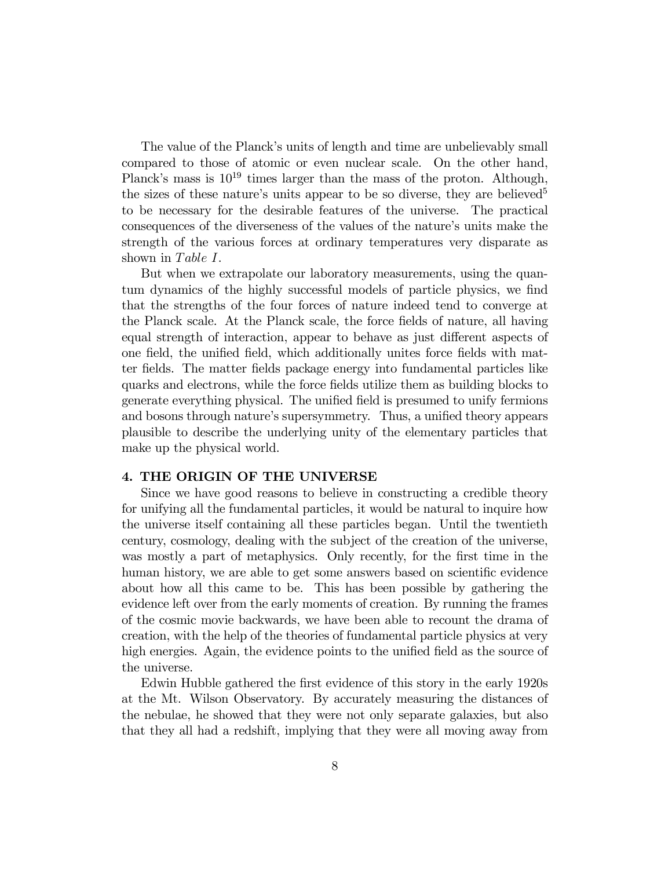The value of the Planck's units of length and time are unbelievably small compared to those of atomic or even nuclear scale. On the other hand, Planck's mass is  $10^{19}$  times larger than the mass of the proton. Although, the sizes of these nature's units appear to be so diverse, they are believed<sup>5</sup> to be necessary for the desirable features of the universe. The practical consequences of the diverseness of the values of the nature's units make the strength of the various forces at ordinary temperatures very disparate as shown in Table  $I$ .

But when we extrapolate our laboratory measurements, using the quantum dynamics of the highly successful models of particle physics, we find that the strengths of the four forces of nature indeed tend to converge at the Planck scale. At the Planck scale, the force fields of nature, all having equal strength of interaction, appear to behave as just different aspects of one field, the unified field, which additionally unites force fields with matter fields. The matter fields package energy into fundamental particles like quarks and electrons, while the force fields utilize them as building blocks to generate everything physical. The unified field is presumed to unify fermions and bosons through nature's supersymmetry. Thus, a unified theory appears plausible to describe the underlying unity of the elementary particles that make up the physical world.

## 4. THE ORIGIN OF THE UNIVERSE

Since we have good reasons to believe in constructing a credible theory for unifying all the fundamental particles, it would be natural to inquire how the universe itself containing all these particles began. Until the twentieth century, cosmology, dealing with the subject of the creation of the universe, was mostly a part of metaphysics. Only recently, for the first time in the human history, we are able to get some answers based on scientific evidence about how all this came to be. This has been possible by gathering the evidence left over from the early moments of creation. By running the frames of the cosmic movie backwards, we have been able to recount the drama of creation, with the help of the theories of fundamental particle physics at very high energies. Again, the evidence points to the unified field as the source of the universe.

Edwin Hubble gathered the first evidence of this story in the early 1920s at the Mt. Wilson Observatory. By accurately measuring the distances of the nebulae, he showed that they were not only separate galaxies, but also that they all had a redshift, implying that they were all moving away from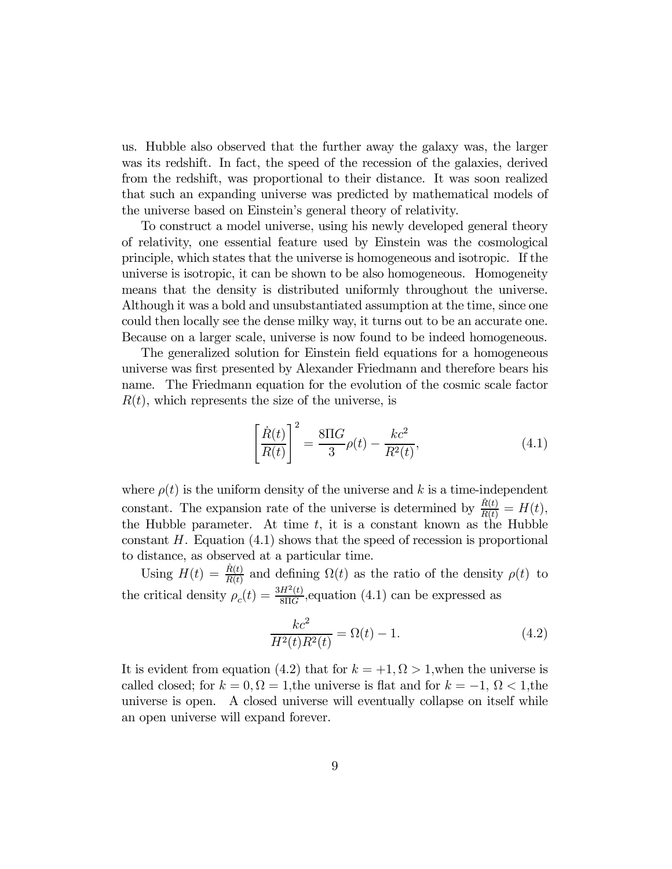us. Hubble also observed that the further away the galaxy was, the larger was its redshift. In fact, the speed of the recession of the galaxies, derived from the redshift, was proportional to their distance. It was soon realized that such an expanding universe was predicted by mathematical models of the universe based on Einstein's general theory of relativity.

To construct a model universe, using his newly developed general theory of relativity, one essential feature used by Einstein was the cosmological principle, which states that the universe is homogeneous and isotropic. If the universe is isotropic, it can be shown to be also homogeneous. Homogeneity means that the density is distributed uniformly throughout the universe. Although it was a bold and unsubstantiated assumption at the time, since one could then locally see the dense milky way, it turns out to be an accurate one. Because on a larger scale, universe is now found to be indeed homogeneous.

The generalized solution for Einstein field equations for a homogeneous universe was first presented by Alexander Friedmann and therefore bears his name. The Friedmann equation for the evolution of the cosmic scale factor  $R(t)$ , which represents the size of the universe, is

$$
\left[\frac{\dot{R}(t)}{R(t)}\right]^2 = \frac{8\Pi G}{3}\rho(t) - \frac{kc^2}{R^2(t)},
$$
\n(4.1)

where  $\rho(t)$  is the uniform density of the universe and k is a time-independent constant. The expansion rate of the universe is determined by  $\frac{\dot{R}(t)}{R(t)} = H(t)$ , the Hubble parameter. At time  $t$ , it is a constant known as the Hubble constant  $H$ . Equation  $(4.1)$  shows that the speed of recession is proportional to distance, as observed at a particular time.

Using  $H(t) = \frac{\dot{R}(t)}{R(t)}$  and defining  $\Omega(t)$  as the ratio of the density  $\rho(t)$  to the critical density  $\rho_c(t) = \frac{3H^2(t)}{8\Pi G}$ , equation (4.1) can be expressed as

$$
\frac{kc^2}{H^2(t)R^2(t)} = \Omega(t) - 1.
$$
\n(4.2)

It is evident from equation (4.2) that for  $k = +1$ ,  $\Omega > 1$ , when the universe is called closed; for  $k = 0, \Omega = 1$ , the universe is flat and for  $k = -1, \Omega < 1$ , the universe is open. A closed universe will eventually collapse on itself while an open universe will expand forever.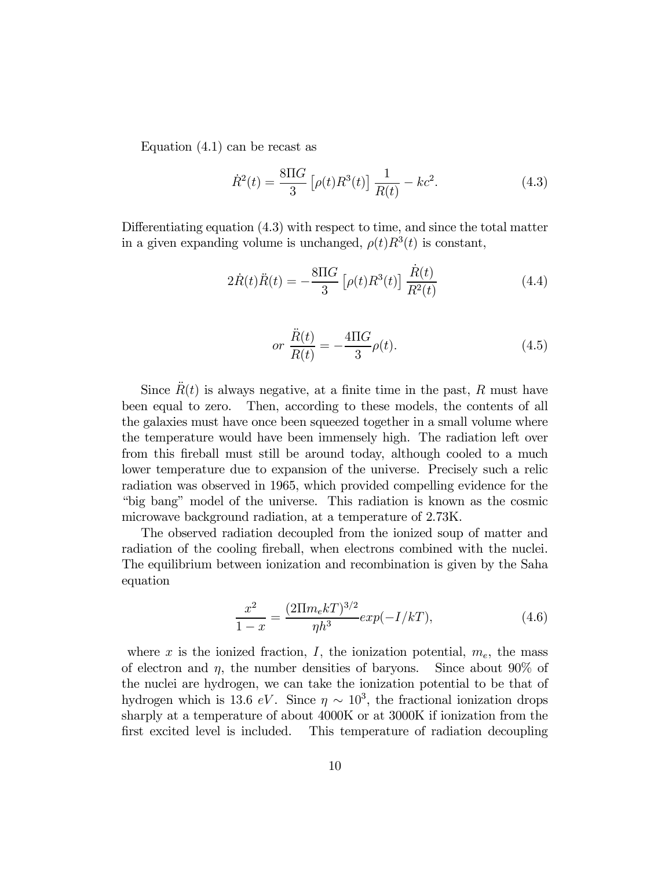Equation (4.1) can be recast as

$$
\dot{R}^2(t) = \frac{8\Pi G}{3} \left[ \rho(t) R^3(t) \right] \frac{1}{R(t)} - kc^2.
$$
 (4.3)

Differentiating equation (4.3) with respect to time, and since the total matter in a given expanding volume is unchanged,  $\rho(t)R^{3}(t)$  is constant,

$$
2\dot{R}(t)\ddot{R}(t) = -\frac{8\Pi G}{3} \left[ \rho(t)R^3(t) \right] \frac{\dot{R}(t)}{R^2(t)} \tag{4.4}
$$

$$
or \frac{\ddot{R}(t)}{R(t)} = -\frac{4\Pi G}{3}\rho(t).
$$
 (4.5)

Since  $R(t)$  is always negative, at a finite time in the past, R must have been equal to zero. Then, according to these models, the contents of all the galaxies must have once been squeezed together in a small volume where the temperature would have been immensely high. The radiation left over from this fireball must still be around today, although cooled to a much lower temperature due to expansion of the universe. Precisely such a relic radiation was observed in 1965, which provided compelling evidence for the ìbig bangî model of the universe. This radiation is known as the cosmic microwave background radiation, at a temperature of 2.73K.

The observed radiation decoupled from the ionized soup of matter and radiation of the cooling fireball, when electrons combined with the nuclei. The equilibrium between ionization and recombination is given by the Saha equation

$$
\frac{x^2}{1-x} = \frac{(2\Pi m_e kT)^{3/2}}{\eta h^3} exp(-I/kT),
$$
\n(4.6)

where x is the ionized fraction, I, the ionization potential,  $m_e$ , the mass of electron and  $\eta$ , the number densities of baryons. Since about 90% of the nuclei are hydrogen, we can take the ionization potential to be that of hydrogen which is 13.6 eV. Since  $\eta \sim 10^3$ , the fractional ionization drops sharply at a temperature of about 4000K or at 3000K if ionization from the first excited level is included. This temperature of radiation decoupling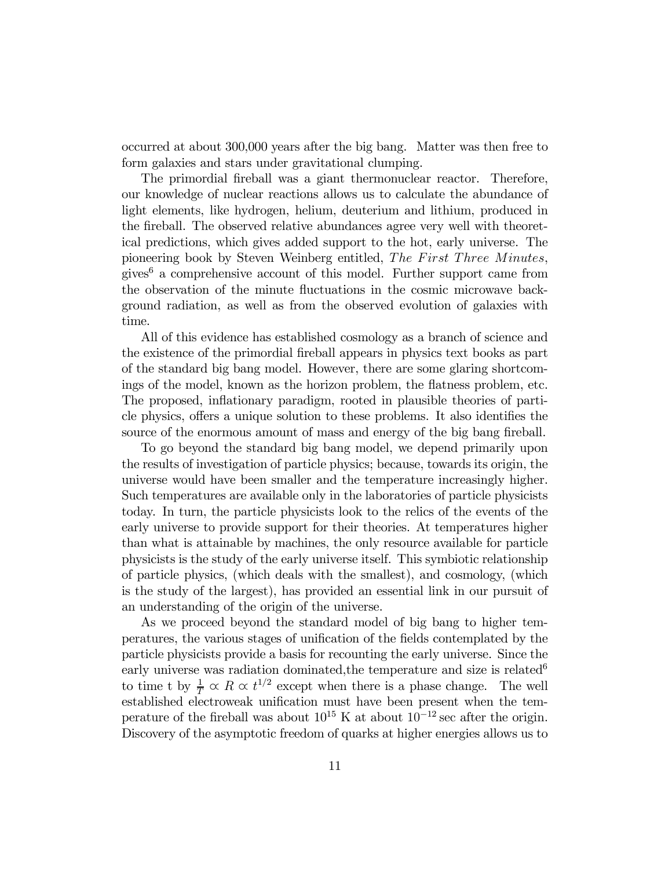occurred at about 300,000 years after the big bang. Matter was then free to form galaxies and stars under gravitational clumping.

The primordial fireball was a giant thermonuclear reactor. Therefore, our knowledge of nuclear reactions allows us to calculate the abundance of light elements, like hydrogen, helium, deuterium and lithium, produced in the fireball. The observed relative abundances agree very well with theoretical predictions, which gives added support to the hot, early universe. The pioneering book by Steven Weinberg entitled, The First Three Minutes, gives<sup>6</sup> a comprehensive account of this model. Further support came from the observation of the minute fluctuations in the cosmic microwave background radiation, as well as from the observed evolution of galaxies with time.

All of this evidence has established cosmology as a branch of science and the existence of the primordial fireball appears in physics text books as part of the standard big bang model. However, there are some glaring shortcomings of the model, known as the horizon problem, the flatness problem, etc. The proposed, inflationary paradigm, rooted in plausible theories of particle physics, offers a unique solution to these problems. It also identifies the source of the enormous amount of mass and energy of the big bang fireball.

To go beyond the standard big bang model, we depend primarily upon the results of investigation of particle physics; because, towards its origin, the universe would have been smaller and the temperature increasingly higher. Such temperatures are available only in the laboratories of particle physicists today. In turn, the particle physicists look to the relics of the events of the early universe to provide support for their theories. At temperatures higher than what is attainable by machines, the only resource available for particle physicists is the study of the early universe itself. This symbiotic relationship of particle physics, (which deals with the smallest), and cosmology, (which is the study of the largest), has provided an essential link in our pursuit of an understanding of the origin of the universe.

As we proceed beyond the standard model of big bang to higher temperatures, the various stages of unification of the fields contemplated by the particle physicists provide a basis for recounting the early universe. Since the early universe was radiation dominated, the temperature and size is related<sup>6</sup> to time t by  $\frac{1}{T} \propto R \propto t^{1/2}$  except when there is a phase change. The well established electroweak unification must have been present when the temperature of the fireball was about  $10^{15}$  K at about  $10^{-12}$  sec after the origin. Discovery of the asymptotic freedom of quarks at higher energies allows us to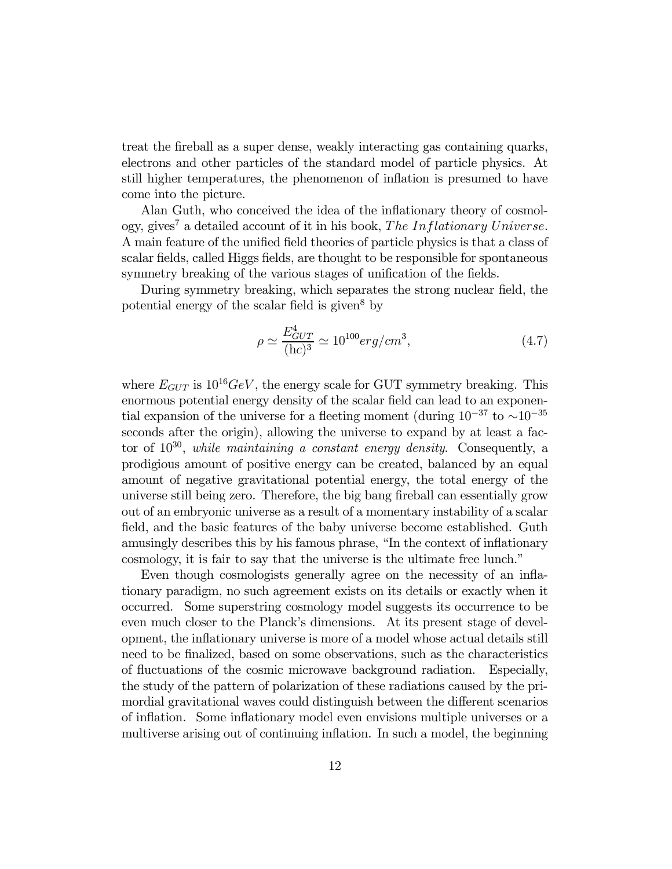treat the fireball as a super dense, weakly interacting gas containing quarks, electrons and other particles of the standard model of particle physics. At still higher temperatures, the phenomenon of inflation is presumed to have come into the picture.

Alan Guth, who conceived the idea of the inflationary theory of cosmology, gives<sup>7</sup> a detailed account of it in his book, The Inflationary Universe. A main feature of the unified field theories of particle physics is that a class of scalar fields, called Higgs fields, are thought to be responsible for spontaneous symmetry breaking of the various stages of unification of the fields.

During symmetry breaking, which separates the strong nuclear field, the potential energy of the scalar field is given<sup>8</sup> by

$$
\rho \simeq \frac{E_{GUT}^4}{(\text{hc})^3} \simeq 10^{100} \text{erg/cm}^3,
$$
\n(4.7)

where  $E_{GUT}$  is  $10^{16}GeV$ , the energy scale for GUT symmetry breaking. This enormous potential energy density of the scalar field can lead to an exponential expansion of the universe for a fleeting moment (during  $10^{-37}$  to  $\sim 10^{-35}$ ) seconds after the origin), allowing the universe to expand by at least a factor of  $10^{30}$ , while maintaining a constant energy density. Consequently, a prodigious amount of positive energy can be created, balanced by an equal amount of negative gravitational potential energy, the total energy of the universe still being zero. Therefore, the big bang fireball can essentially grow out of an embryonic universe as a result of a momentary instability of a scalar field, and the basic features of the baby universe become established. Guth amusingly describes this by his famous phrase, "In the context of inflationary cosmology, it is fair to say that the universe is the ultimate free lunch."

Even though cosmologists generally agree on the necessity of an inflationary paradigm, no such agreement exists on its details or exactly when it occurred. Some superstring cosmology model suggests its occurrence to be even much closer to the Planck's dimensions. At its present stage of development, the inflationary universe is more of a model whose actual details still need to be finalized, based on some observations, such as the characteristics of fluctuations of the cosmic microwave background radiation. Especially, the study of the pattern of polarization of these radiations caused by the primordial gravitational waves could distinguish between the different scenarios of inflation. Some inflationary model even envisions multiple universes or a multiverse arising out of continuing inflation. In such a model, the beginning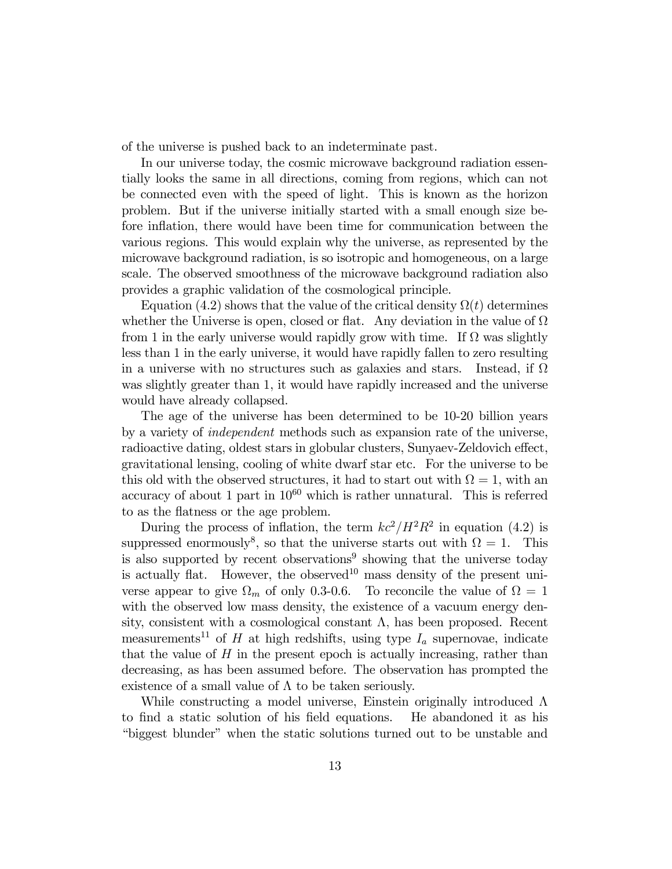of the universe is pushed back to an indeterminate past.

In our universe today, the cosmic microwave background radiation essentially looks the same in all directions, coming from regions, which can not be connected even with the speed of light. This is known as the horizon problem. But if the universe initially started with a small enough size before inflation, there would have been time for communication between the various regions. This would explain why the universe, as represented by the microwave background radiation, is so isotropic and homogeneous, on a large scale. The observed smoothness of the microwave background radiation also provides a graphic validation of the cosmological principle.

Equation (4.2) shows that the value of the critical density  $\Omega(t)$  determines whether the Universe is open, closed or flat. Any deviation in the value of  $\Omega$ from 1 in the early universe would rapidly grow with time. If  $\Omega$  was slightly less than 1 in the early universe, it would have rapidly fallen to zero resulting in a universe with no structures such as galaxies and stars. Instead, if  $\Omega$ was slightly greater than 1, it would have rapidly increased and the universe would have already collapsed.

The age of the universe has been determined to be 10-20 billion years by a variety of independent methods such as expansion rate of the universe, radioactive dating, oldest stars in globular clusters, Sunyaev-Zeldovich effect, gravitational lensing, cooling of white dwarf star etc. For the universe to be this old with the observed structures, it had to start out with  $\Omega = 1$ , with an accuracy of about 1 part in  $10^{60}$  which is rather unnatural. This is referred to as the flatness or the age problem.

During the process of inflation, the term  $kc^2/H^2R^2$  in equation (4.2) is suppressed enormously<sup>8</sup>, so that the universe starts out with  $\Omega = 1$ . This is also supported by recent observations<sup>9</sup> showing that the universe today is actually flat. However, the observed<sup>10</sup> mass density of the present universe appear to give  $\Omega_m$  of only 0.3-0.6. To reconcile the value of  $\Omega = 1$ with the observed low mass density, the existence of a vacuum energy density, consistent with a cosmological constant  $\Lambda$ , has been proposed. Recent measurements<sup>11</sup> of H at high redshifts, using type  $I_a$  supernovae, indicate that the value of  $H$  in the present epoch is actually increasing, rather than decreasing, as has been assumed before. The observation has prompted the existence of a small value of  $\Lambda$  to be taken seriously.

While constructing a model universe, Einstein originally introduced Λ to find a static solution of his field equations. He abandoned it as his ìbiggest blunderî when the static solutions turned out to be unstable and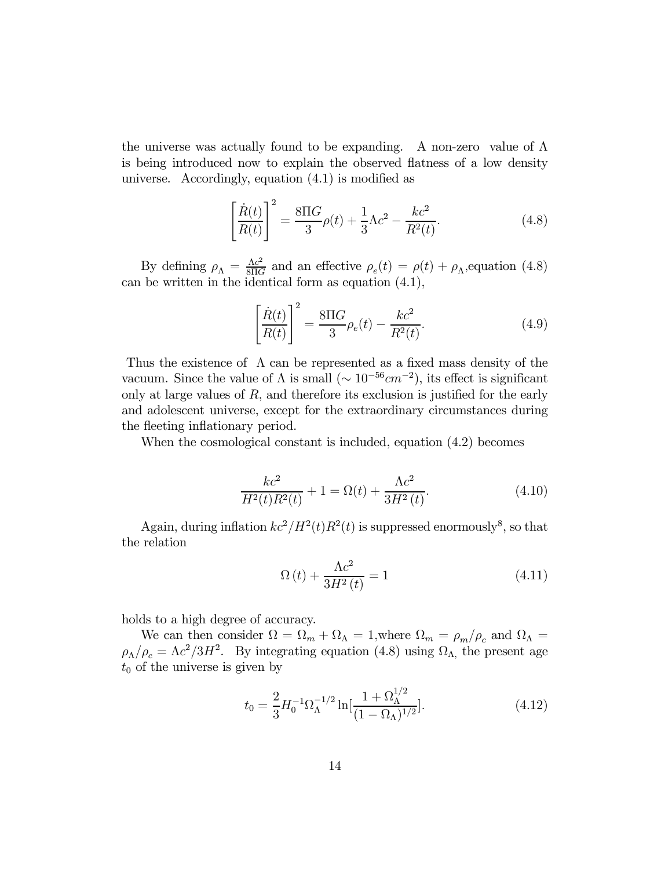the universe was actually found to be expanding. A non-zero value of  $\Lambda$ is being introduced now to explain the observed flatness of a low density universe. Accordingly, equation (4.1) is modified as

$$
\left[\frac{\dot{R}(t)}{R(t)}\right]^2 = \frac{8\Pi G}{3}\rho(t) + \frac{1}{3}\Lambda c^2 - \frac{kc^2}{R^2(t)}.
$$
\n(4.8)

By defining  $\rho_{\Lambda} = \frac{\Lambda c^2}{8\Pi G}$  and an effective  $\rho_e(t) = \rho(t) + \rho_{\Lambda}$ , equation (4.8) can be written in the identical form as equation (4.1),

$$
\left[\frac{\dot{R}(t)}{R(t)}\right]^2 = \frac{8\Pi G}{3}\rho_e(t) - \frac{kc^2}{R^2(t)}.
$$
\n(4.9)

Thus the existence of  $\Lambda$  can be represented as a fixed mass density of the vacuum. Since the value of  $\Lambda$  is small ( $\sim 10^{-56}$ cm<sup>-2</sup>), its effect is significant only at large values of  $R$ , and therefore its exclusion is justified for the early and adolescent universe, except for the extraordinary circumstances during the fleeting inflationary period.

When the cosmological constant is included, equation (4.2) becomes

$$
\frac{kc^2}{H^2(t)R^2(t)} + 1 = \Omega(t) + \frac{\Lambda c^2}{3H^2(t)}.
$$
\n(4.10)

Again, during inflation  $kc^2/H^2(t)R^2(t)$  is suppressed enormously<sup>8</sup>, so that the relation

$$
\Omega\left(t\right) + \frac{\Lambda c^2}{3H^2\left(t\right)} = 1\tag{4.11}
$$

holds to a high degree of accuracy.

We can then consider  $\Omega = \Omega_m + \Omega_{\Lambda} = 1$ , where  $\Omega_m = \rho_m / \rho_c$  and  $\Omega_{\Lambda} =$  $\rho_{\Lambda}/\rho_c = \Lambda c^2/3H^2$ . By integrating equation (4.8) using  $\Omega_{\Lambda}$ , the present age  $t_0$  of the universe is given by

$$
t_0 = \frac{2}{3} H_0^{-1} \Omega_{\Lambda}^{-1/2} \ln[\frac{1 + \Omega_{\Lambda}^{1/2}}{(1 - \Omega_{\Lambda})^{1/2}}].
$$
 (4.12)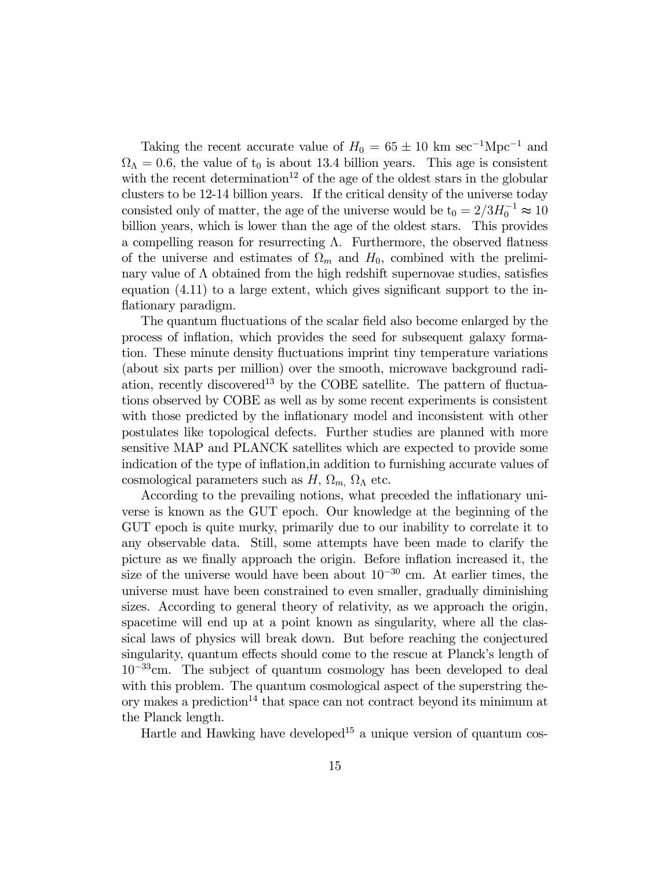Taking the recent accurate value of  $H_0 = 65 \pm 10$  km sec<sup>-1</sup>Mpc<sup>-1</sup> and  $\Omega_{\Lambda} = 0.6$ , the value of t<sub>0</sub> is about 13.4 billion years. This age is consistent with the recent determination<sup>12</sup> of the age of the oldest stars in the globular clusters to be 12-14 billion years. If the critical density of the universe today consisted only of matter, the age of the universe would be  $t_0 = 2/3H_0^{-1} \approx 10$ billion years, which is lower than the age of the oldest stars. This provides a compelling reason for resurrecting  $\Lambda$ . Furthermore, the observed flatness of the universe and estimates of  $\Omega_m$  and  $H_0$ , combined with the preliminary value of  $\Lambda$  obtained from the high redshift supernovae studies, satisfies equation (4.11) to a large extent, which gives significant support to the inflationary paradigm.

The quantum fluctuations of the scalar field also become enlarged by the process of inflation, which provides the seed for subsequent galaxy formation. These minute density fluctuations imprint tiny temperature variations (about six parts per million) over the smooth, microwave background radiation, recently discovered<sup>13</sup> by the COBE satellite. The pattern of fluctuations observed by COBE as well as by some recent experiments is consistent with those predicted by the inflationary model and inconsistent with other postulates like topological defects. Further studies are planned with more sensitive MAP and PLANCK satellites which are expected to provide some indication of the type of inflation,in addition to furnishing accurate values of cosmological parameters such as  $H$ ,  $\Omega_m$ ,  $\Omega_{\Lambda}$  etc.

According to the prevailing notions, what preceded the inflationary universe is known as the GUT epoch. Our knowledge at the beginning of the GUT epoch is quite murky, primarily due to our inability to correlate it to any observable data. Still, some attempts have been made to clarify the picture as we finally approach the origin. Before inflation increased it, the size of the universe would have been about  $10^{-30}$  cm. At earlier times, the universe must have been constrained to even smaller, gradually diminishing sizes. According to general theory of relativity, as we approach the origin, spacetime will end up at a point known as singularity, where all the classical laws of physics will break down. But before reaching the conjectured singularity, quantum effects should come to the rescue at Planck's length of  $10^{-33}$ cm. The subject of quantum cosmology has been developed to deal with this problem. The quantum cosmological aspect of the superstring theory makes a prediction<sup>14</sup> that space can not contract beyond its minimum at the Planck length.

Hartle and Hawking have developed<sup>15</sup> a unique version of quantum cos-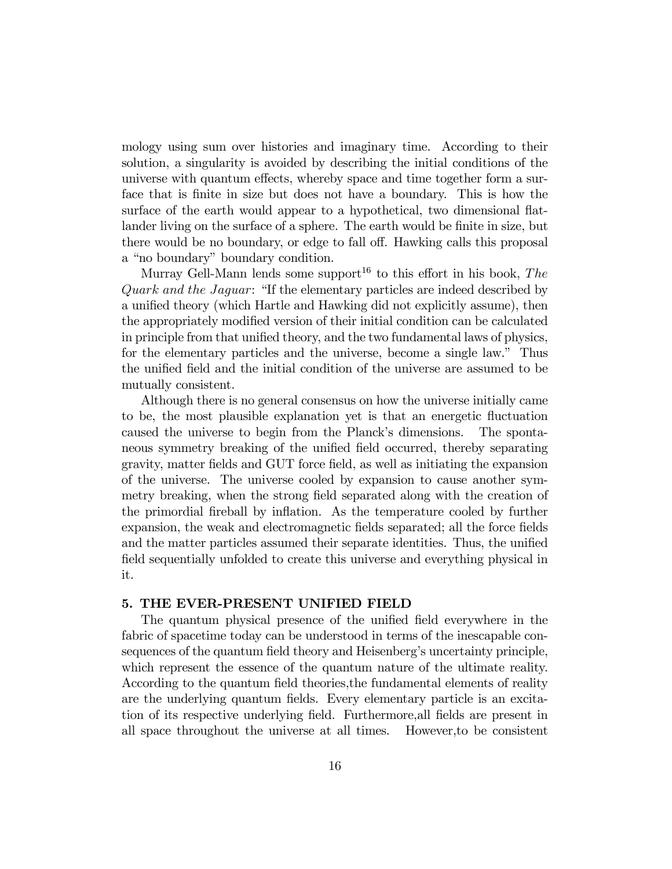mology using sum over histories and imaginary time. According to their solution, a singularity is avoided by describing the initial conditions of the universe with quantum effects, whereby space and time together form a surface that is finite in size but does not have a boundary. This is how the surface of the earth would appear to a hypothetical, two dimensional flatlander living on the surface of a sphere. The earth would be finite in size, but there would be no boundary, or edge to fall off. Hawking calls this proposal a "no boundary" boundary condition.

Murray Gell-Mann lends some support<sup>16</sup> to this effort in his book, The Quark and the Jaguar: "If the elementary particles are indeed described by a unified theory (which Hartle and Hawking did not explicitly assume), then the appropriately modified version of their initial condition can be calculated in principle from that unified theory, and the two fundamental laws of physics, for the elementary particles and the universe, become a single law." Thus the unified field and the initial condition of the universe are assumed to be mutually consistent.

Although there is no general consensus on how the universe initially came to be, the most plausible explanation yet is that an energetic fluctuation caused the universe to begin from the Planck's dimensions. The spontaneous symmetry breaking of the unified field occurred, thereby separating gravity, matter fields and GUT force field, as well as initiating the expansion of the universe. The universe cooled by expansion to cause another symmetry breaking, when the strong field separated along with the creation of the primordial fireball by inflation. As the temperature cooled by further expansion, the weak and electromagnetic fields separated; all the force fields and the matter particles assumed their separate identities. Thus, the unified field sequentially unfolded to create this universe and everything physical in it.

## 5. THE EVER-PRESENT UNIFIED FIELD

The quantum physical presence of the unified field everywhere in the fabric of spacetime today can be understood in terms of the inescapable consequences of the quantum field theory and Heisenbergís uncertainty principle, which represent the essence of the quantum nature of the ultimate reality. According to the quantum field theories,the fundamental elements of reality are the underlying quantum fields. Every elementary particle is an excitation of its respective underlying field. Furthermore,all fields are present in all space throughout the universe at all times. However,to be consistent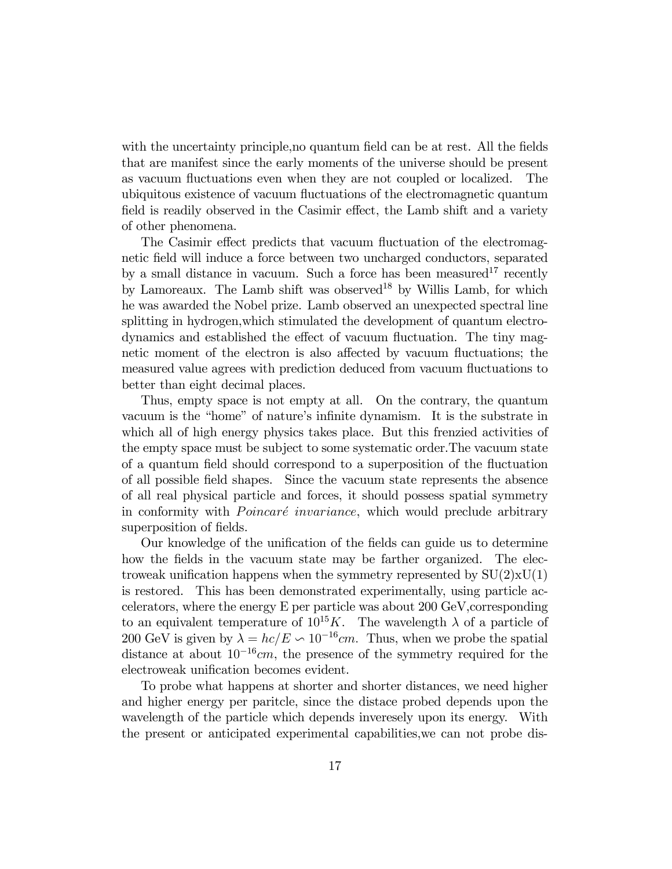with the uncertainty principle,no quantum field can be at rest. All the fields that are manifest since the early moments of the universe should be present as vacuum fluctuations even when they are not coupled or localized. The ubiquitous existence of vacuum fluctuations of the electromagnetic quantum field is readily observed in the Casimir effect, the Lamb shift and a variety of other phenomena.

The Casimir effect predicts that vacuum fluctuation of the electromagnetic field will induce a force between two uncharged conductors, separated by a small distance in vacuum. Such a force has been measured<sup>17</sup> recently by Lamoreaux. The Lamb shift was observed<sup>18</sup> by Willis Lamb, for which he was awarded the Nobel prize. Lamb observed an unexpected spectral line splitting in hydrogen,which stimulated the development of quantum electrodynamics and established the effect of vacuum fluctuation. The tiny magnetic moment of the electron is also affected by vacuum fluctuations; the measured value agrees with prediction deduced from vacuum fluctuations to better than eight decimal places.

Thus, empty space is not empty at all. On the contrary, the quantum vacuum is the "home" of nature's infinite dynamism. It is the substrate in which all of high energy physics takes place. But this frenzied activities of the empty space must be subject to some systematic order.The vacuum state of a quantum field should correspond to a superposition of the fluctuation of all possible field shapes. Since the vacuum state represents the absence of all real physical particle and forces, it should possess spatial symmetry in conformity with *Poincaré invariance*, which would preclude arbitrary superposition of fields.

Our knowledge of the unification of the fields can guide us to determine how the fields in the vacuum state may be farther organized. The electroweak unification happens when the symmetry represented by  $SU(2) \times U(1)$ is restored. This has been demonstrated experimentally, using particle accelerators, where the energy E per particle was about 200 GeV,corresponding to an equivalent temperature of  $10^{15}K$ . The wavelength  $\lambda$  of a particle of 200 GeV is given by  $\lambda = hc/E \sim 10^{-16}$ cm. Thus, when we probe the spatial distance at about  $10^{-16}$ cm, the presence of the symmetry required for the electroweak unification becomes evident.

To probe what happens at shorter and shorter distances, we need higher and higher energy per paritcle, since the distace probed depends upon the wavelength of the particle which depends inveresely upon its energy. With the present or anticipated experimental capabilities,we can not probe dis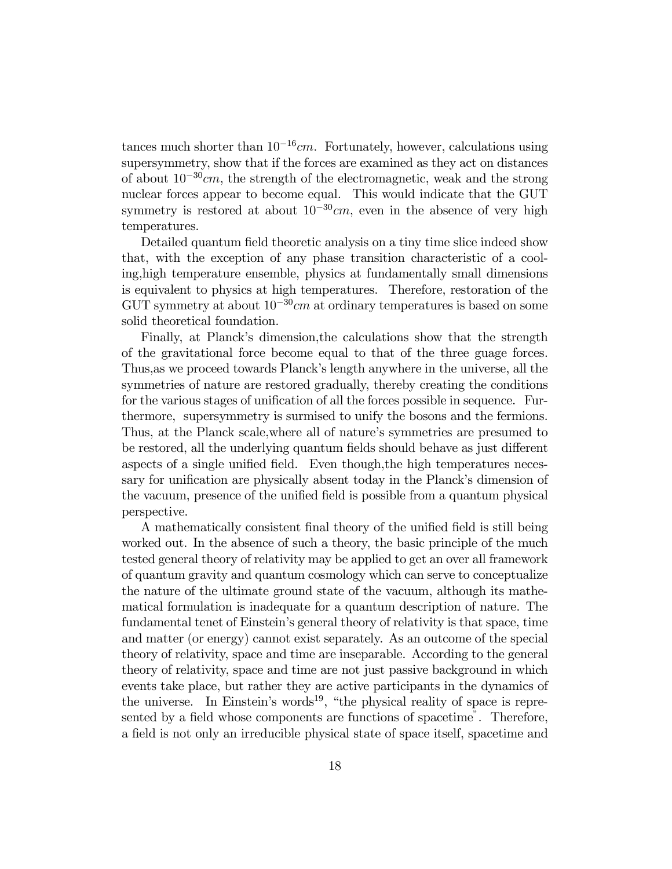tances much shorter than  $10^{-16}$ cm. Fortunately, however, calculations using supersymmetry, show that if the forces are examined as they act on distances of about  $10^{-30}$ cm, the strength of the electromagnetic, weak and the strong nuclear forces appear to become equal. This would indicate that the GUT symmetry is restored at about  $10^{-30}$ cm, even in the absence of very high temperatures.

Detailed quantum field theoretic analysis on a tiny time slice indeed show that, with the exception of any phase transition characteristic of a cooling,high temperature ensemble, physics at fundamentally small dimensions is equivalent to physics at high temperatures. Therefore, restoration of the GUT symmetry at about  $10^{-30}$ cm at ordinary temperatures is based on some solid theoretical foundation.

Finally, at Planck's dimension, the calculations show that the strength of the gravitational force become equal to that of the three guage forces. Thus, as we proceed towards Planck's length anywhere in the universe, all the symmetries of nature are restored gradually, thereby creating the conditions for the various stages of unification of all the forces possible in sequence. Furthermore, supersymmetry is surmised to unify the bosons and the fermions. Thus, at the Planck scale, where all of nature's symmetries are presumed to be restored, all the underlying quantum fields should behave as just different aspects of a single unified field. Even though,the high temperatures necessary for unification are physically absent today in the Planck's dimension of the vacuum, presence of the unified field is possible from a quantum physical perspective.

A mathematically consistent final theory of the unified field is still being worked out. In the absence of such a theory, the basic principle of the much tested general theory of relativity may be applied to get an over all framework of quantum gravity and quantum cosmology which can serve to conceptualize the nature of the ultimate ground state of the vacuum, although its mathematical formulation is inadequate for a quantum description of nature. The fundamental tenet of Einsteinís general theory of relativity is that space, time and matter (or energy) cannot exist separately. As an outcome of the special theory of relativity, space and time are inseparable. According to the general theory of relativity, space and time are not just passive background in which events take place, but rather they are active participants in the dynamics of the universe. In Einstein's words<sup>19</sup>, "the physical reality of space is represented by a field whose components are functions of spacetime". Therefore, a field is not only an irreducible physical state of space itself, spacetime and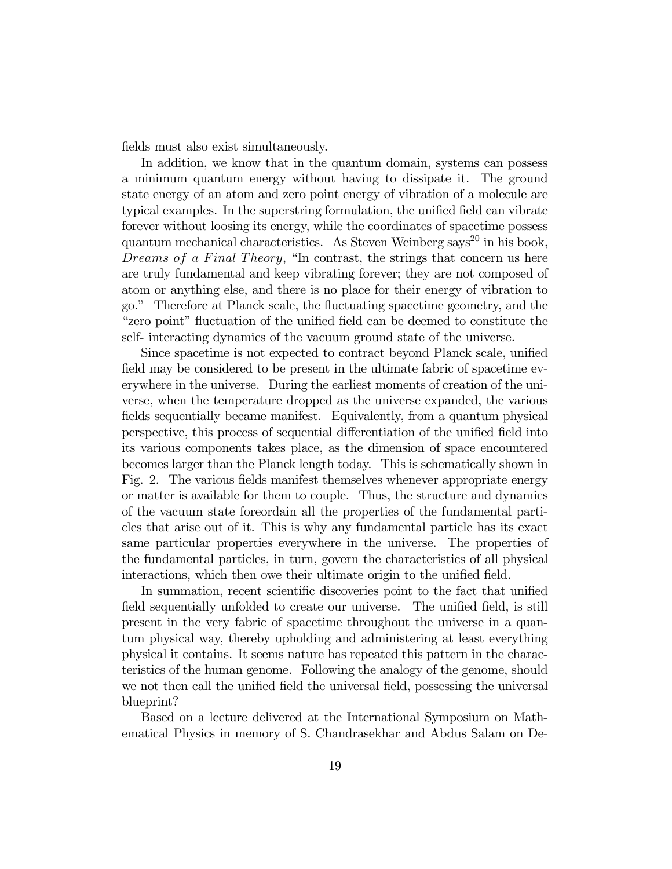fields must also exist simultaneously.

In addition, we know that in the quantum domain, systems can possess a minimum quantum energy without having to dissipate it. The ground state energy of an atom and zero point energy of vibration of a molecule are typical examples. In the superstring formulation, the unified field can vibrate forever without loosing its energy, while the coordinates of spacetime possess quantum mechanical characteristics. As Steven Weinberg says<sup>20</sup> in his book, Dreams of a Final Theory, "In contrast, the strings that concern us here are truly fundamental and keep vibrating forever; they are not composed of atom or anything else, and there is no place for their energy of vibration to go.î Therefore at Planck scale, the fluctuating spacetime geometry, and the ìzero pointî fluctuation of the unified field can be deemed to constitute the self- interacting dynamics of the vacuum ground state of the universe.

Since spacetime is not expected to contract beyond Planck scale, unified field may be considered to be present in the ultimate fabric of spacetime everywhere in the universe. During the earliest moments of creation of the universe, when the temperature dropped as the universe expanded, the various fields sequentially became manifest. Equivalently, from a quantum physical perspective, this process of sequential differentiation of the unified field into its various components takes place, as the dimension of space encountered becomes larger than the Planck length today. This is schematically shown in Fig. 2. The various fields manifest themselves whenever appropriate energy or matter is available for them to couple. Thus, the structure and dynamics of the vacuum state foreordain all the properties of the fundamental particles that arise out of it. This is why any fundamental particle has its exact same particular properties everywhere in the universe. The properties of the fundamental particles, in turn, govern the characteristics of all physical interactions, which then owe their ultimate origin to the unified field.

In summation, recent scientific discoveries point to the fact that unified field sequentially unfolded to create our universe. The unified field, is still present in the very fabric of spacetime throughout the universe in a quantum physical way, thereby upholding and administering at least everything physical it contains. It seems nature has repeated this pattern in the characteristics of the human genome. Following the analogy of the genome, should we not then call the unified field the universal field, possessing the universal blueprint?

Based on a lecture delivered at the International Symposium on Mathematical Physics in memory of S. Chandrasekhar and Abdus Salam on De